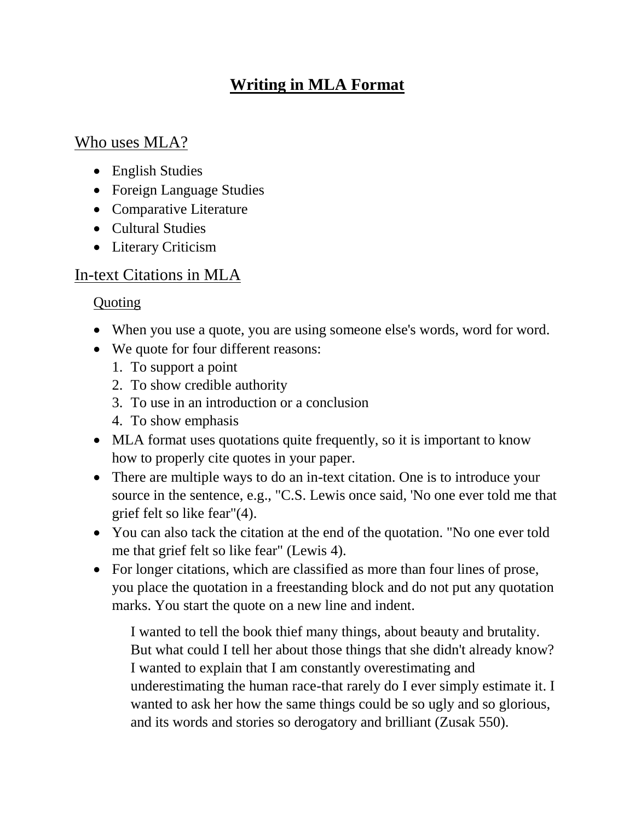# **Writing in MLA Format**

## Who uses MLA?

- English Studies
- Foreign Language Studies
- Comparative Literature
- Cultural Studies
- Literary Criticism

## In-text Citations in MLA

## **Quoting**

- When you use a quote, you are using someone else's words, word for word.
- We quote for four different reasons:
	- 1. To support a point
	- 2. To show credible authority
	- 3. To use in an introduction or a conclusion
	- 4. To show emphasis
- MLA format uses quotations quite frequently, so it is important to know how to properly cite quotes in your paper.
- There are multiple ways to do an in-text citation. One is to introduce your source in the sentence, e.g., "C.S. Lewis once said, 'No one ever told me that grief felt so like fear"(4).
- You can also tack the citation at the end of the quotation. "No one ever told me that grief felt so like fear" (Lewis 4).
- For longer citations, which are classified as more than four lines of prose, you place the quotation in a freestanding block and do not put any quotation marks. You start the quote on a new line and indent.

I wanted to tell the book thief many things, about beauty and brutality. But what could I tell her about those things that she didn't already know? I wanted to explain that I am constantly overestimating and underestimating the human race-that rarely do I ever simply estimate it. I wanted to ask her how the same things could be so ugly and so glorious, and its words and stories so derogatory and brilliant (Zusak 550).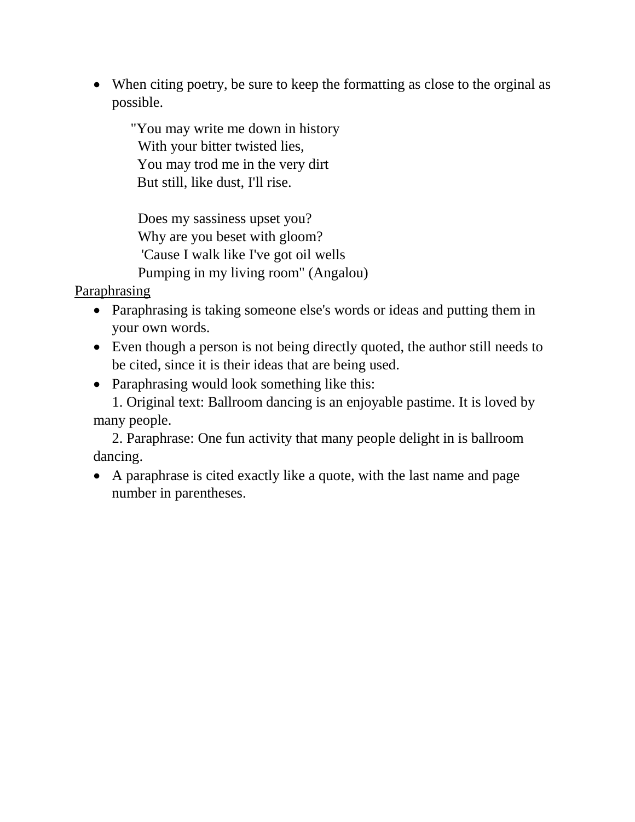• When citing poetry, be sure to keep the formatting as close to the orginal as possible.

"You may write me down in history With your bitter twisted lies, You may trod me in the very dirt But still, like dust, I'll rise.

 Does my sassiness upset you? Why are you beset with gloom? 'Cause I walk like I've got oil wells Pumping in my living room" (Angalou)

Paraphrasing

- Paraphrasing is taking someone else's words or ideas and putting them in your own words.
- Even though a person is not being directly quoted, the author still needs to be cited, since it is their ideas that are being used.
- Paraphrasing would look something like this:

1. Original text: Ballroom dancing is an enjoyable pastime. It is loved by many people.

2. Paraphrase: One fun activity that many people delight in is ballroom dancing.

 A paraphrase is cited exactly like a quote, with the last name and page number in parentheses.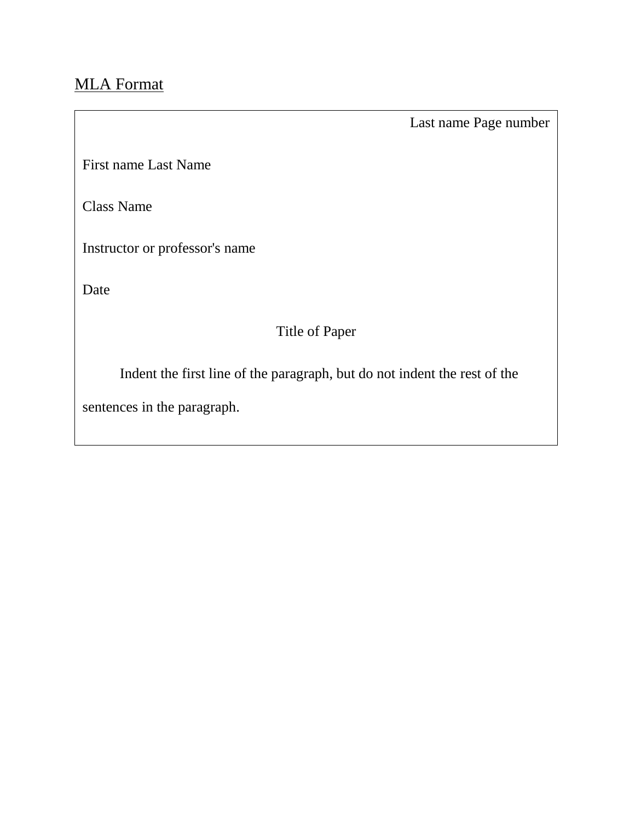# MLA Format

Last name Page number

First name Last Name

Class Name

Instructor or professor's name

Date

## Title of Paper

Indent the first line of the paragraph, but do not indent the rest of the

sentences in the paragraph.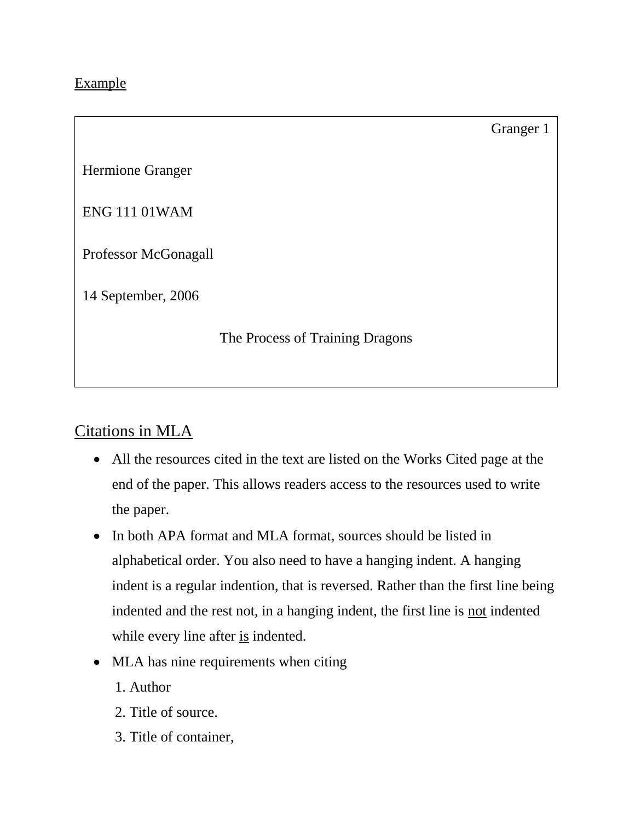### Example

### Granger 1

Hermione Granger

ENG 111 01WAM

Professor McGonagall

14 September, 2006

The Process of Training Dragons

### Citations in MLA

- All the resources cited in the text are listed on the Works Cited page at the end of the paper. This allows readers access to the resources used to write the paper.
- In both APA format and MLA format, sources should be listed in alphabetical order. You also need to have a hanging indent. A hanging indent is a regular indention, that is reversed. Rather than the first line being indented and the rest not, in a hanging indent, the first line is not indented while every line after is indented.
- MLA has nine requirements when citing
	- 1. Author
	- 2. Title of source.
	- 3. Title of container,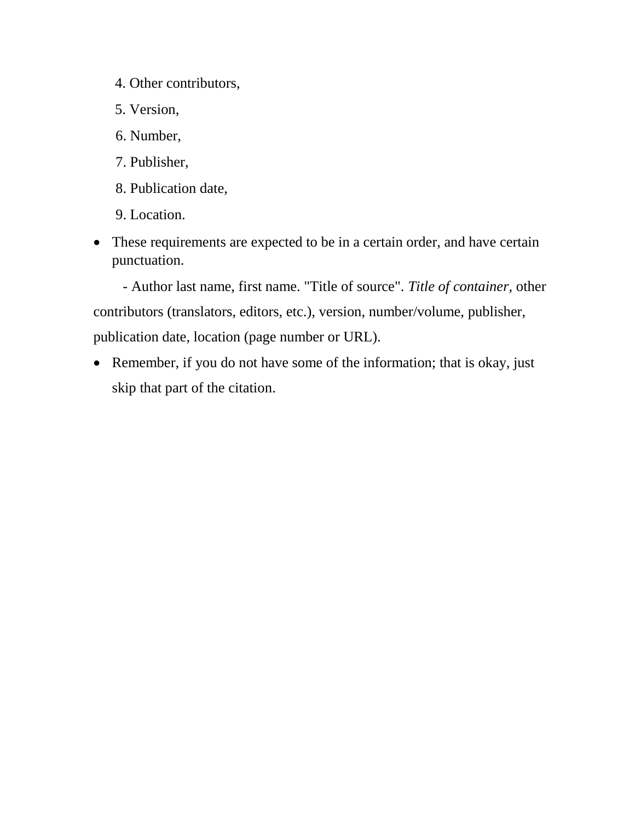- 4. Other contributors,
- 5. Version,
- 6. Number,
- 7. Publisher,
- 8. Publication date,
- 9. Location.
- These requirements are expected to be in a certain order, and have certain punctuation.

 - Author last name, first name. "Title of source". *Title of container,* other contributors (translators, editors, etc.), version, number/volume, publisher, publication date, location (page number or URL).

• Remember, if you do not have some of the information; that is okay, just skip that part of the citation.